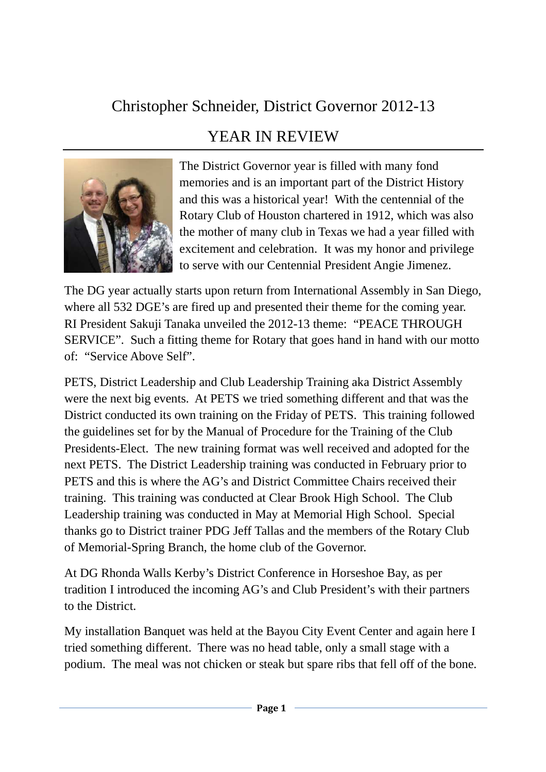## Christopher Schneider, District Governor 2012-13

## YEAR IN REVIEW



The District Governor year is filled with many fond memories and is an important part of the District History and this was a historical year! With the centennial of the Rotary Club of Houston chartered in 1912, which was also the mother of many club in Texas we had a year filled with excitement and celebration. It was my honor and privilege to serve with our Centennial President Angie Jimenez.

The DG year actually starts upon return from International Assembly in San Diego, where all 532 DGE's are fired up and presented their theme for the coming year. RI President Sakuji Tanaka unveiled the 2012-13 theme: "PEACE THROUGH SERVICE". Such a fitting theme for Rotary that goes hand in hand with our motto of: "Service Above Self".

PETS, District Leadership and Club Leadership Training aka District Assembly were the next big events. At PETS we tried something different and that was the District conducted its own training on the Friday of PETS. This training followed the guidelines set for by the Manual of Procedure for the Training of the Club Presidents-Elect. The new training format was well received and adopted for the next PETS. The District Leadership training was conducted in February prior to PETS and this is where the AG's and District Committee Chairs received their training. This training was conducted at Clear Brook High School. The Club Leadership training was conducted in May at Memorial High School. Special thanks go to District trainer PDG Jeff Tallas and the members of the Rotary Club of Memorial-Spring Branch, the home club of the Governor.

At DG Rhonda Walls Kerby's District Conference in Horseshoe Bay, as per tradition I introduced the incoming AG's and Club President's with their partners to the District.

My installation Banquet was held at the Bayou City Event Center and again here I tried something different. There was no head table, only a small stage with a podium. The meal was not chicken or steak but spare ribs that fell off of the bone.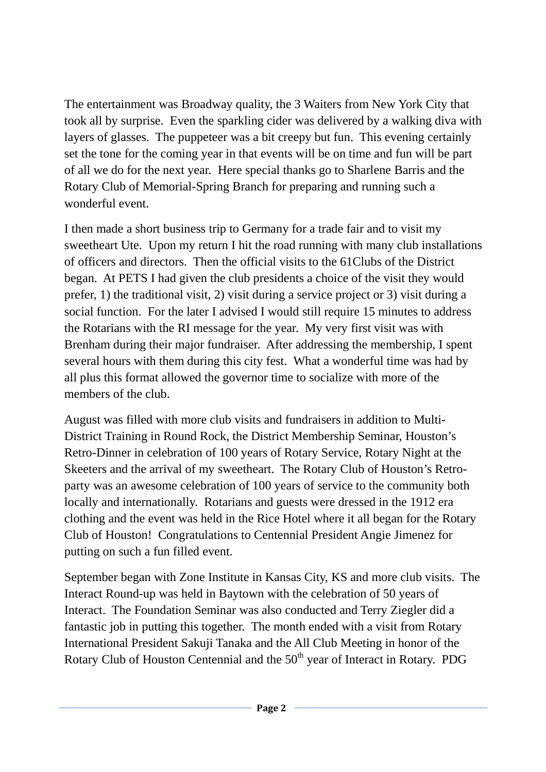The entertainment was Broadway quality, the 3 Waiters from New York City that took all by surprise. Even the sparkling cider was delivered by a walking diva with layers of glasses. The puppeteer was a bit creepy but fun. This evening certainly set the tone for the coming year in that events will be on time and fun will be part of all we do for the next year. Here special thanks go to Sharlene Barris and the Rotary Club of Memorial-Spring Branch for preparing and running such a wonderful event.

I then made a short business trip to Germany for a trade fair and to visit my sweetheart Ute. Upon my return I hit the road running with many club installations of officers and directors. Then the official visits to the 61Clubs of the District began. At PETS I had given the club presidents a choice of the visit they would prefer, 1) the traditional visit, 2) visit during a service project or 3) visit during a social function. For the later I advised I would still require 15 minutes to address the Rotarians with the RI message for the year. My very first visit was with Brenham during their major fundraiser. After addressing the membership, I spent several hours with them during this city fest. What a wonderful time was had by all plus this format allowed the governor time to socialize with more of the members of the club.

August was filled with more club visits and fundraisers in addition to Multi-District Training in Round Rock, the District Membership Seminar, Houston's Retro-Dinner in celebration of 100 years of Rotary Service, Rotary Night at the Skeeters and the arrival of my sweetheart. The Rotary Club of Houston's Retroparty was an awesome celebration of 100 years of service to the community both locally and internationally. Rotarians and guests were dressed in the 1912 era clothing and the event was held in the Rice Hotel where it all began for the Rotary Club of Houston! Congratulations to Centennial President Angie Jimenez for putting on such a fun filled event.

September began with Zone Institute in Kansas City, KS and more club visits. The Interact Round-up was held in Baytown with the celebration of 50 years of Interact. The Foundation Seminar was also conducted and Terry Ziegler did a fantastic job in putting this together. The month ended with a visit from Rotary International President Sakuji Tanaka and the All Club Meeting in honor of the Rotary Club of Houston Centennial and the  $50<sup>th</sup>$  year of Interact in Rotary. PDG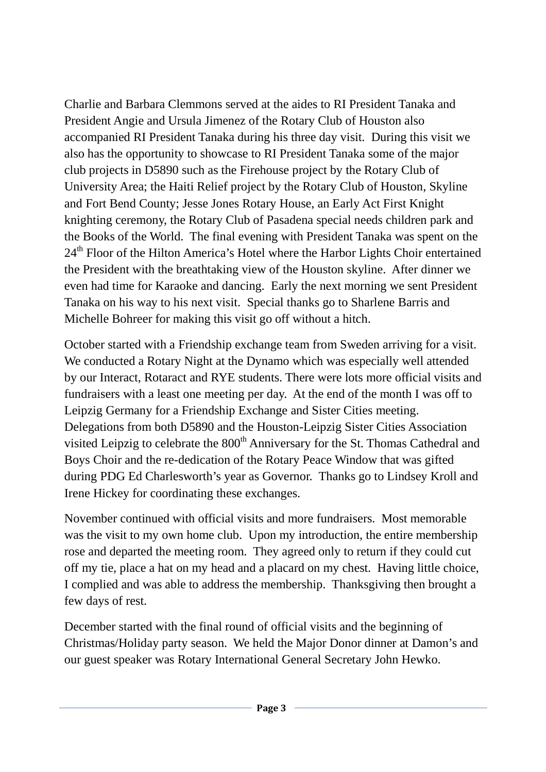Charlie and Barbara Clemmons served at the aides to RI President Tanaka and President Angie and Ursula Jimenez of the Rotary Club of Houston also accompanied RI President Tanaka during his three day visit. During this visit we also has the opportunity to showcase to RI President Tanaka some of the major club projects in D5890 such as the Firehouse project by the Rotary Club of University Area; the Haiti Relief project by the Rotary Club of Houston, Skyline and Fort Bend County; Jesse Jones Rotary House, an Early Act First Knight knighting ceremony, the Rotary Club of Pasadena special needs children park and the Books of the World. The final evening with President Tanaka was spent on the 24<sup>th</sup> Floor of the Hilton America's Hotel where the Harbor Lights Choir entertained the President with the breathtaking view of the Houston skyline. After dinner we even had time for Karaoke and dancing. Early the next morning we sent President Tanaka on his way to his next visit. Special thanks go to Sharlene Barris and Michelle Bohreer for making this visit go off without a hitch.

October started with a Friendship exchange team from Sweden arriving for a visit. We conducted a Rotary Night at the Dynamo which was especially well attended by our Interact, Rotaract and RYE students. There were lots more official visits and fundraisers with a least one meeting per day. At the end of the month I was off to Leipzig Germany for a Friendship Exchange and Sister Cities meeting. Delegations from both D5890 and the Houston-Leipzig Sister Cities Association visited Leipzig to celebrate the 800<sup>th</sup> Anniversary for the St. Thomas Cathedral and Boys Choir and the re-dedication of the Rotary Peace Window that was gifted during PDG Ed Charlesworth's year as Governor. Thanks go to Lindsey Kroll and Irene Hickey for coordinating these exchanges.

November continued with official visits and more fundraisers. Most memorable was the visit to my own home club. Upon my introduction, the entire membership rose and departed the meeting room. They agreed only to return if they could cut off my tie, place a hat on my head and a placard on my chest. Having little choice, I complied and was able to address the membership. Thanksgiving then brought a few days of rest.

December started with the final round of official visits and the beginning of Christmas/Holiday party season. We held the Major Donor dinner at Damon's and our guest speaker was Rotary International General Secretary John Hewko.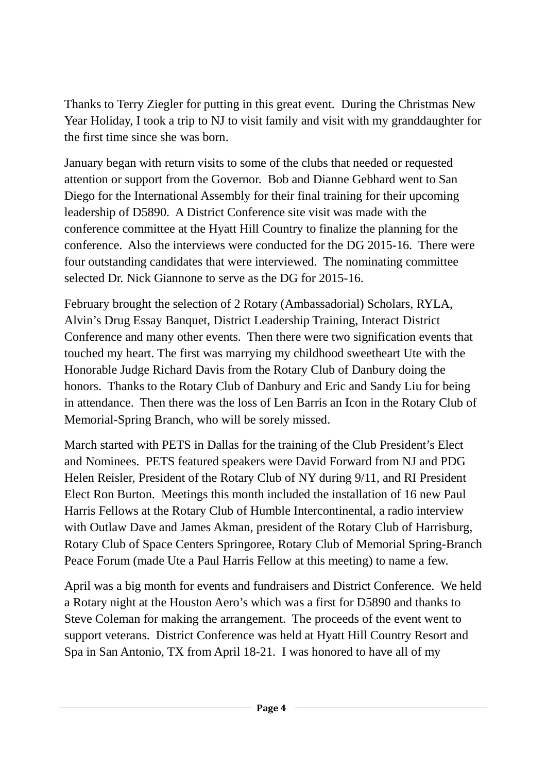Thanks to Terry Ziegler for putting in this great event. During the Christmas New Year Holiday, I took a trip to NJ to visit family and visit with my granddaughter for the first time since she was born.

January began with return visits to some of the clubs that needed or requested attention or support from the Governor. Bob and Dianne Gebhard went to San Diego for the International Assembly for their final training for their upcoming leadership of D5890. A District Conference site visit was made with the conference committee at the Hyatt Hill Country to finalize the planning for the conference. Also the interviews were conducted for the DG 2015-16. There were four outstanding candidates that were interviewed. The nominating committee selected Dr. Nick Giannone to serve as the DG for 2015-16.

February brought the selection of 2 Rotary (Ambassadorial) Scholars, RYLA, Alvin's Drug Essay Banquet, District Leadership Training, Interact District Conference and many other events. Then there were two signification events that touched my heart. The first was marrying my childhood sweetheart Ute with the Honorable Judge Richard Davis from the Rotary Club of Danbury doing the honors. Thanks to the Rotary Club of Danbury and Eric and Sandy Liu for being in attendance. Then there was the loss of Len Barris an Icon in the Rotary Club of Memorial-Spring Branch, who will be sorely missed.

March started with PETS in Dallas for the training of the Club President's Elect and Nominees. PETS featured speakers were David Forward from NJ and PDG Helen Reisler, President of the Rotary Club of NY during 9/11, and RI President Elect Ron Burton. Meetings this month included the installation of 16 new Paul Harris Fellows at the Rotary Club of Humble Intercontinental, a radio interview with Outlaw Dave and James Akman, president of the Rotary Club of Harrisburg, Rotary Club of Space Centers Springoree, Rotary Club of Memorial Spring-Branch Peace Forum (made Ute a Paul Harris Fellow at this meeting) to name a few.

April was a big month for events and fundraisers and District Conference. We held a Rotary night at the Houston Aero's which was a first for D5890 and thanks to Steve Coleman for making the arrangement. The proceeds of the event went to support veterans. District Conference was held at Hyatt Hill Country Resort and Spa in San Antonio, TX from April 18-21. I was honored to have all of my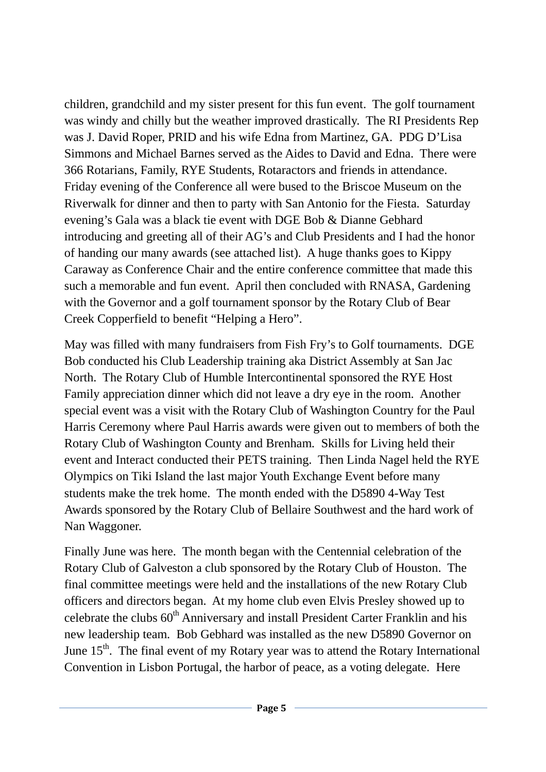children, grandchild and my sister present for this fun event. The golf tournament was windy and chilly but the weather improved drastically. The RI Presidents Rep was J. David Roper, PRID and his wife Edna from Martinez, GA. PDG D'Lisa Simmons and Michael Barnes served as the Aides to David and Edna. There were 366 Rotarians, Family, RYE Students, Rotaractors and friends in attendance. Friday evening of the Conference all were bused to the Briscoe Museum on the Riverwalk for dinner and then to party with San Antonio for the Fiesta. Saturday evening's Gala was a black tie event with DGE Bob & Dianne Gebhard introducing and greeting all of their AG's and Club Presidents and I had the honor of handing our many awards (see attached list). A huge thanks goes to Kippy Caraway as Conference Chair and the entire conference committee that made this such a memorable and fun event. April then concluded with RNASA, Gardening with the Governor and a golf tournament sponsor by the Rotary Club of Bear Creek Copperfield to benefit "Helping a Hero".

May was filled with many fundraisers from Fish Fry's to Golf tournaments. DGE Bob conducted his Club Leadership training aka District Assembly at San Jac North. The Rotary Club of Humble Intercontinental sponsored the RYE Host Family appreciation dinner which did not leave a dry eye in the room. Another special event was a visit with the Rotary Club of Washington Country for the Paul Harris Ceremony where Paul Harris awards were given out to members of both the Rotary Club of Washington County and Brenham. Skills for Living held their event and Interact conducted their PETS training. Then Linda Nagel held the RYE Olympics on Tiki Island the last major Youth Exchange Event before many students make the trek home. The month ended with the D5890 4-Way Test Awards sponsored by the Rotary Club of Bellaire Southwest and the hard work of Nan Waggoner.

Finally June was here. The month began with the Centennial celebration of the Rotary Club of Galveston a club sponsored by the Rotary Club of Houston. The final committee meetings were held and the installations of the new Rotary Club officers and directors began. At my home club even Elvis Presley showed up to celebrate the clubs  $60<sup>th</sup>$  Anniversary and install President Carter Franklin and his new leadership team. Bob Gebhard was installed as the new D5890 Governor on June 15<sup>th</sup>. The final event of my Rotary year was to attend the Rotary International Convention in Lisbon Portugal, the harbor of peace, as a voting delegate. Here